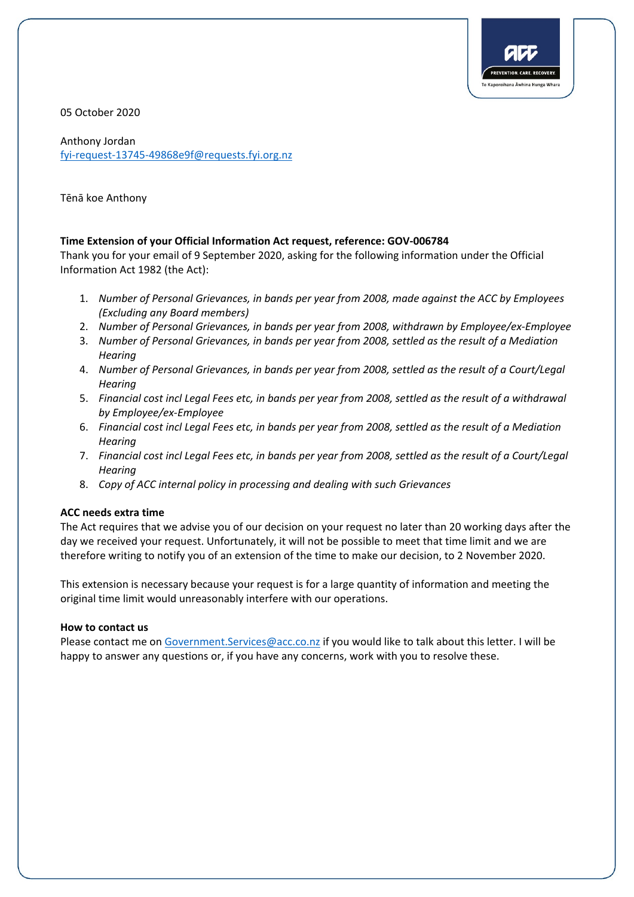

05 October 2020

Anthony Jordan fyi-request-13745-49868e9f@requests.fyi.org.nz

Tēnā koe Anthony

## **Time Extension of your Official Information Act request, reference: GOV-006784**

Thank you for your email of 9 September 2020, asking for the following information under the Official Information Act 1982 (the Act):

- 1. *Number of Personal Grievances, in bands per year from 2008, made against the ACC by Employees (Excluding any Board members)*
- 2. *Number of Personal Grievances, in bands per year from 2008, withdrawn by Employee/ex-Employee*
- 3. *Number of Personal Grievances, in bands per year from 2008, settled as the result of a Mediation Hearing*
- 4. *Number of Personal Grievances, in bands per year from 2008, settled as the result of a Court/Legal Hearing*
- 5. *Financial cost incl Legal Fees etc, in bands per year from 2008, settled as the result of a withdrawal by Employee/ex-Employee*
- 6. *Financial cost incl Legal Fees etc, in bands per year from 2008, settled as the result of a Mediation Hearing*
- 7. *Financial cost incl Legal Fees etc, in bands per year from 2008, settled as the result of a Court/Legal Hearing*
- 8. *Copy of ACC internal policy in processing and dealing with such Grievances*

## **ACC needs extra time**

The Act requires that we advise you of our decision on your request no later than 20 working days after the day we received your request. Unfortunately, it will not be possible to meet that time limit and we are therefore writing to notify you of an extension of the time to make our decision, to 2 November 2020.

This extension is necessary because your request is for a large quantity of information and meeting the original time limit would unreasonably interfere with our operations.

## **How to contact us**

Please contact me o[n Government.Services@acc.co.nz](mailto:xxxxxxxxxx.xxxxxxxx@xxx.xx.xx) if you would like to talk about this letter. I will be happy to answer any questions or, if you have any concerns, work with you to resolve these.